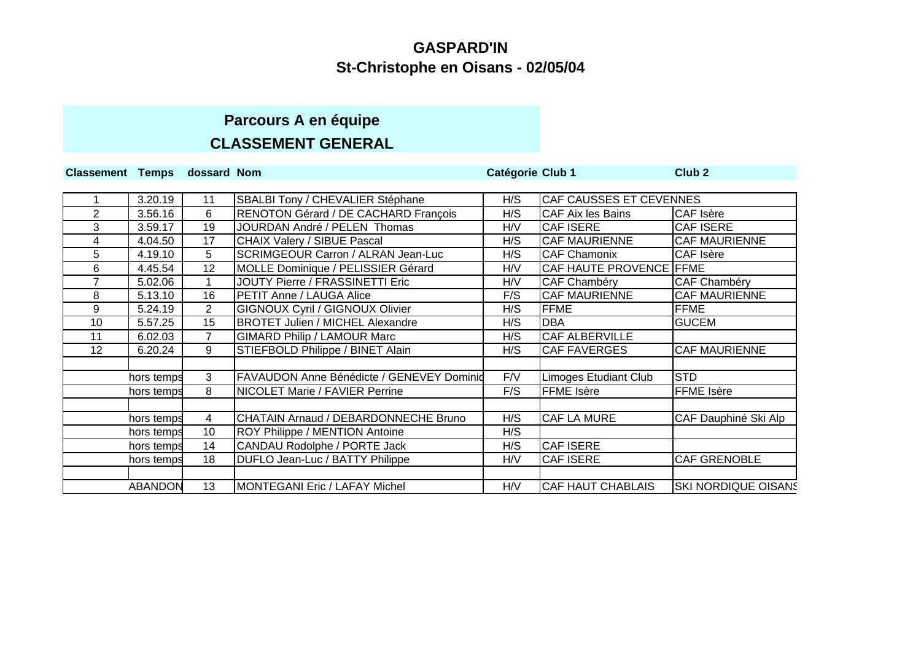# **Parcours A en équipe CLASSEMENT GENERAL**

| Classement Temps dossard Nom |                |                |                                           | Catégorie Club 1 |                              | Club <sub>2</sub>          |
|------------------------------|----------------|----------------|-------------------------------------------|------------------|------------------------------|----------------------------|
|                              |                |                |                                           |                  |                              |                            |
|                              | 3.20.19        | 11             | SBALBI Tony / CHEVALIER Stéphane          | H/S              | CAF CAUSSES ET CEVENNES      |                            |
| 2                            | 3.56.16        | 6              | RENOTON Gérard / DE CACHARD François      | H/S              | <b>CAF Aix les Bains</b>     | <b>CAF</b> Isère           |
| 3                            | 3.59.17        | 19             | JOURDAN André / PELEN Thomas              | H/V              | <b>CAF ISERE</b>             | <b>CAF ISERE</b>           |
| 4                            | 4.04.50        | 17             | CHAIX Valery / SIBUE Pascal               | H/S              | <b>CAF MAURIENNE</b>         | <b>CAF MAURIENNE</b>       |
| 5                            | 4.19.10        | 5              | <b>SCRIMGEOUR Carron / ALRAN Jean-Luc</b> | H/S              | <b>CAF Chamonix</b>          | <b>CAF Isère</b>           |
| 6                            | 4.45.54        | 12             | MOLLE Dominique / PELISSIER Gérard        | H/V              | CAF HAUTE PROVENCE FFME      |                            |
|                              | 5.02.06        |                | JOUTY Pierre / FRASSINETTI Eric           | H/V              | CAF Chambéry                 | <b>CAF Chambéry</b>        |
| 8                            | 5.13.10        | 16             | <b>PETIT Anne / LAUGA Alice</b>           | F/S              | <b>CAF MAURIENNE</b>         | <b>CAF MAURIENNE</b>       |
| 9                            | 5.24.19        | $\overline{2}$ | <b>GIGNOUX Cyril / GIGNOUX Olivier</b>    | H/S              | <b>FFME</b>                  | <b>FFME</b>                |
| 10                           | 5.57.25        | 15             | <b>BROTET Julien / MICHEL Alexandre</b>   | H/S              | <b>DBA</b>                   | <b>GUCEM</b>               |
| 11                           | 6.02.03        | $\overline{7}$ | <b>GIMARD Philip / LAMOUR Marc</b>        | H/S              | CAF ALBERVILLE               |                            |
| 12                           | 6.20.24        | 9              | STIEFBOLD Philippe / BINET Alain          | H/S              | <b>CAF FAVERGES</b>          | <b>CAF MAURIENNE</b>       |
|                              |                |                |                                           |                  |                              |                            |
|                              | hors temps     | 3              | FAVAUDON Anne Bénédicte / GENEVEY Dominid | F/V              | <b>Limoges Etudiant Club</b> | <b>STD</b>                 |
|                              | hors temps     | 8              | <b>NICOLET Marie / FAVIER Perrine</b>     | F/S              | <b>FFME</b> Isère            | FFME Isère                 |
|                              |                |                |                                           |                  |                              |                            |
|                              | hors temps     | 4              | CHATAIN Arnaud / DEBARDONNECHE Bruno      | H/S              | <b>CAF LA MURE</b>           | CAF Dauphiné Ski Alp       |
|                              | hors temps     | 10             | ROY Philippe / MENTION Antoine            | H/S              |                              |                            |
|                              | hors temps     | 14             | CANDAU Rodolphe / PORTE Jack              | H/S              | <b>CAF ISERE</b>             |                            |
|                              | hors temps     | 18             | DUFLO Jean-Luc / BATTY Philippe           | H/V              | <b>CAF ISERE</b>             | CAF GRENOBLE               |
|                              |                |                |                                           |                  |                              |                            |
|                              | <b>ABANDON</b> | 13             | MONTEGANI Eric / LAFAY Michel             | H/V              | <b>CAF HAUT CHABLAIS</b>     | <b>SKI NORDIQUE OISANS</b> |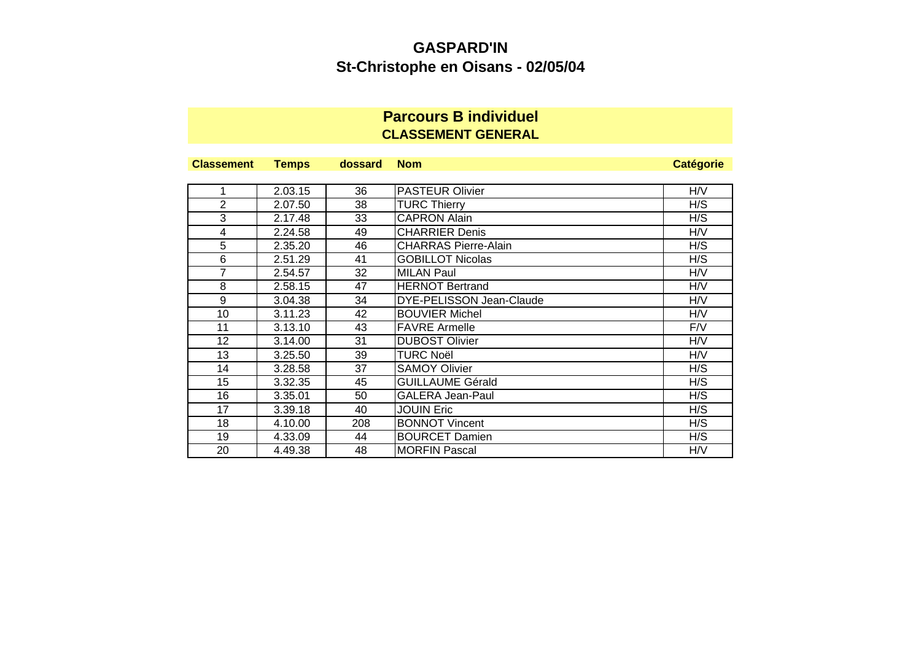## **Parcours B individuel CLASSEMENT GENERAL**

| <b>Classement</b> | <b>Temps</b> | dossard | <b>Nom</b>                  | <b>Catégorie</b> |
|-------------------|--------------|---------|-----------------------------|------------------|
|                   |              |         |                             |                  |
| 1                 | 2.03.15      | 36      | <b>PASTEUR Olivier</b>      | H/V              |
| $\overline{2}$    | 2.07.50      | 38      | <b>TURC Thierry</b>         | H/S              |
| 3                 | 2.17.48      | 33      | <b>CAPRON Alain</b>         | H/S              |
| 4                 | 2.24.58      | 49      | <b>CHARRIER Denis</b>       | H/V              |
| 5                 | 2.35.20      | 46      | <b>CHARRAS Pierre-Alain</b> | H/S              |
| 6                 | 2.51.29      | 41      | <b>GOBILLOT Nicolas</b>     | H/S              |
| 7                 | 2.54.57      | 32      | <b>MILAN Paul</b>           | H/V              |
| 8                 | 2.58.15      | 47      | <b>HERNOT Bertrand</b>      | H/V              |
| 9                 | 3.04.38      | 34      | DYE-PELISSON Jean-Claude    | H/V              |
| 10                | 3.11.23      | 42      | <b>BOUVIER Michel</b>       | H/V              |
| 11                | 3.13.10      | 43      | <b>FAVRE Armelle</b>        | F/V              |
| 12 <sub>2</sub>   | 3.14.00      | 31      | <b>DUBOST Olivier</b>       | H/V              |
| 13                | 3.25.50      | 39      | <b>TURC Noël</b>            | H/V              |
| 14                | 3.28.58      | 37      | <b>SAMOY Olivier</b>        | H/S              |
| 15                | 3.32.35      | 45      | <b>GUILLAUME Gérald</b>     | H/S              |
| 16                | 3.35.01      | 50      | <b>GALERA Jean-Paul</b>     | H/S              |
| 17                | 3.39.18      | 40      | <b>JOUIN Eric</b>           | H/S              |
| 18                | 4.10.00      | 208     | <b>BONNOT Vincent</b>       | H/S              |
| 19                | 4.33.09      | 44      | <b>BOURCET Damien</b>       | H/S              |
| 20                | 4.49.38      | 48      | <b>MORFIN Pascal</b>        | H/V              |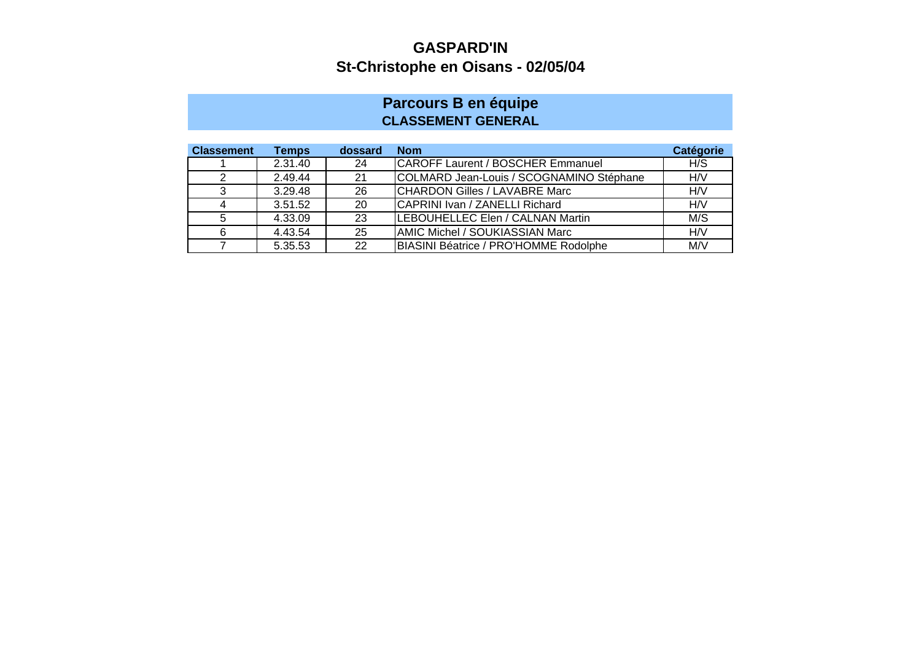#### **Parcours B en équipe CLASSEMENT GENERAL**

| <b>Classement</b> | Temps   | dossard | <b>Nom</b>                               | <b>Catégorie</b> |
|-------------------|---------|---------|------------------------------------------|------------------|
|                   | 2.31.40 | 24      | <b>CAROFF Laurent / BOSCHER Emmanuel</b> | H/S              |
|                   | 2.49.44 | 21      | COLMARD Jean-Louis / SCOGNAMINO Stéphane | H/V              |
| ົ                 | 3.29.48 | 26      | CHARDON Gilles / LAVABRE Marc            | H/V              |
|                   | 3.51.52 | 20      | CAPRINI Ivan / ZANELLI Richard           | H/V              |
|                   | 4.33.09 | 23      | LEBOUHELLEC Elen / CALNAN Martin         | M/S              |
| 6                 | 4.43.54 | 25      | <b>AMIC Michel / SOUKIASSIAN Marc</b>    | H/V              |
|                   | 5.35.53 | 22      | BIASINI Béatrice / PRO'HOMME Rodolphe    | M/V              |